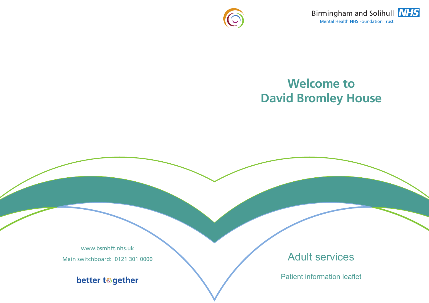



# **Welcome to David Bromley House**

www.bsmhft.nhs.uk Main switchboard: 0121 301 0000

better t<sup>®</sup>gether

Adult services

Patient information leaflet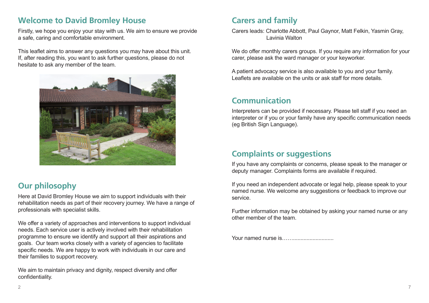## **Welcome to David Bromley House**

Firstly, we hope you enjoy your stay with us. We aim to ensure we provide a safe, caring and comfortable environment.

This leaflet aims to answer any questions you may have about this unit. If, after reading this, you want to ask further questions, please do not hesitate to ask any member of the team.



## **Our philosophy**

Here at David Bromley House we aim to support individuals with their rehabilitation needs as part of their recovery journey. We have a range of professionals with specialist skills.

We offer a variety of approaches and interventions to support individual needs. Each service user is actively involved with their rehabilitation programme to ensure we identify and support all their aspirations and goals. Our team works closely with a variety of agencies to facilitate specific needs. We are happy to work with individuals in our care and their families to support recovery.

We aim to maintain privacy and dignity, respect diversity and offer confidentiality.

#### **Carers and family**

Carers leads: Charlotte Abbott, Paul Gaynor, Matt Felkin, Yasmin Gray, Lavinia Walton

We do offer monthly carers groups. If you require any information for your carer, please ask the ward manager or your keyworker.

A patient advocacy service is also available to you and your family. Leaflets are available on the units or ask staff for more details.

#### **Communication**

Interpreters can be provided if necessary. Please tell staff if you need an interpreter or if you or your family have any specific communication needs (eg British Sign Language).

#### **Complaints or suggestions**

If you have any complaints or concerns, please speak to the manager or deputy manager. Complaints forms are available if required.

If you need an independent advocate or legal help, please speak to your named nurse. We welcome any suggestions or feedback to improve our service.

Further information may be obtained by asking your named nurse or any other member of the team.

Your named nurse is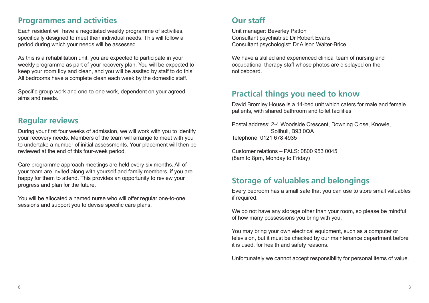#### **Programmes and activities**

Each resident will have a negotiated weekly programme of activities, specifically designed to meet their individual needs. This will follow a period during which your needs will be assessed.

As this is a rehabilitation unit, you are expected to participate in your weekly programme as part of your recovery plan. You will be expected to keep your room tidy and clean, and you will be assited by staff to do this. All bedrooms have a complete clean each week by the domestic staff.

Specific group work and one-to-one work, dependent on your agreed aims and needs.

#### **Regular reviews**

During your first four weeks of admission, we will work with you to identify your recovery needs. Members of the team will arrange to meet with you to undertake a number of initial assessments. Your placement will then be reviewed at the end of this four-week period.

Care programme approach meetings are held every six months. All of your team are invited along with yourself and family members, if you are happy for them to attend. This provides an opportunity to review your progress and plan for the future.

You will be allocated a named nurse who will offer regular one-to-one sessions and support you to devise specific care plans.

## **Our staff**

Unit manager: Beverley Patton Consultant psychiatrist: Dr Robert Evans Consultant psychologist: Dr Alison Walter-Brice

We have a skilled and experienced clinical team of nursing and occupational therapy staff whose photos are displayed on the noticeboard.

#### **Practical things you need to know**

David Bromley House is a 14-bed unit which caters for male and female patients, with shared bathroom and toilet facilities.

Postal address: 2-4 Woodside Crescent, Downing Close, Knowle, Solihull, B93 0QA Telephone: 0121 678 4935

Customer relations – PALS: 0800 953 0045 (8am to 8pm, Monday to Friday)

#### **Storage of valuables and belongings**

Every bedroom has a small safe that you can use to store small valuables if required.

We do not have any storage other than your room, so please be mindful of how many possessions you bring with you.

You may bring your own electrical equipment, such as a computer or television, but it must be checked by our maintenance department before it is used, for health and safety reasons.

Unfortunately we cannot accept responsibility for personal items of value.